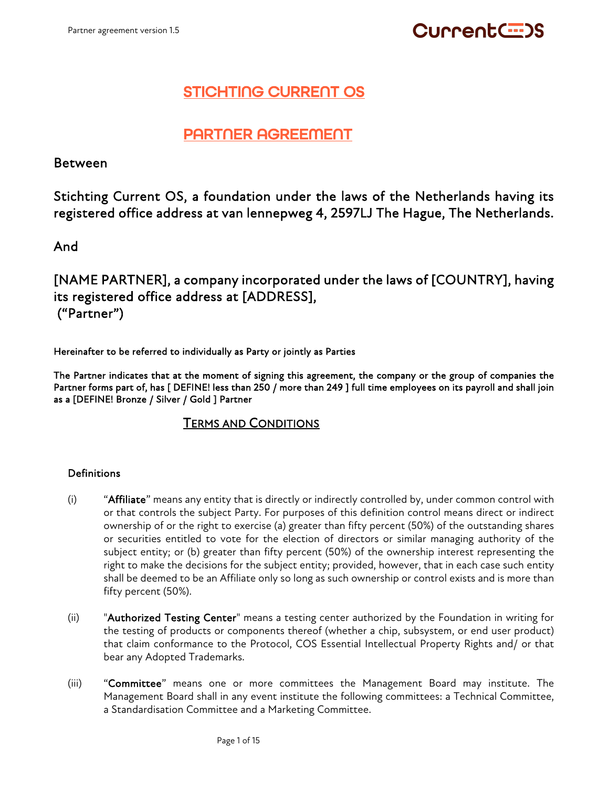# $Currence(\overline{...})$

# STICHTING CURRENT OS

# PARTNER AGREEMENT

Between

Stichting Current OS, a foundation under the laws of the Netherlands having its registered office address at van lennepweg 4, 2597LJ The Hague, The Netherlands.

And

[NAME PARTNER], a company incorporated under the laws of [COUNTRY], having its registered office address at [ADDRESS], ("Partner")

Hereinafter to be referred to individually as Party or jointly as Parties

The Partner indicates that at the moment of signing this agreement, the company or the group of companies the Partner forms part of, has [ DEFINE! less than 250 / more than 249 ] full time employees on its payroll and shall join as a [DEFINE! Bronze / Silver / Gold ] Partner

# TERMS AND CONDITIONS

# Definitions

- (i) "Affiliate" means any entity that is directly or indirectly controlled by, under common control with or that controls the subject Party. For purposes of this definition control means direct or indirect ownership of or the right to exercise (a) greater than fifty percent (50%) of the outstanding shares or securities entitled to vote for the election of directors or similar managing authority of the subject entity; or (b) greater than fifty percent (50%) of the ownership interest representing the right to make the decisions for the subject entity; provided, however, that in each case such entity shall be deemed to be an Affiliate only so long as such ownership or control exists and is more than fifty percent (50%).
- (ii) "Authorized Testing Center" means a testing center authorized by the Foundation in writing for the testing of products or components thereof (whether a chip, subsystem, or end user product) that claim conformance to the Protocol, COS Essential Intellectual Property Rights and/ or that bear any Adopted Trademarks.
- (iii) "Committee" means one or more committees the Management Board may institute. The Management Board shall in any event institute the following committees: a Technical Committee, a Standardisation Committee and a Marketing Committee.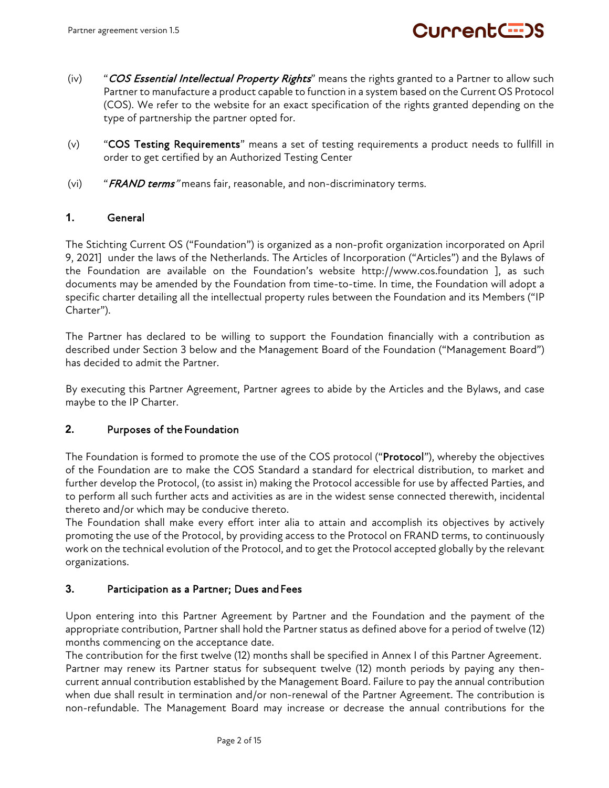

- (iv) "COS Essential Intellectual Property Rights" means the rights granted to a Partner to allow such Partner to manufacture a product capable to function in a system based on the Current OS Protocol (COS). We refer to the website for an exact specification of the rights granted depending on the type of partnership the partner opted for.
- $(v)$  "COS Testing Requirements" means a set of testing requirements a product needs to fullfill in order to get certified by an Authorized Testing Center
- (vi) "FRAND terms" means fair, reasonable, and non-discriminatory terms.

# **1.** General

The Stichting Current OS ("Foundation") is organized as a non-profit organization incorporated on April 9, 2021] under the laws of the Netherlands. The Articles of Incorporation ("Articles") and the Bylaws of the Foundation are available on the Foundation's website http://www.cos.foundation ], as such documents may be amended by the Foundation from time-to-time. In time, the Foundation will adopt a specific charter detailing all the intellectual property rules between the Foundation and its Members ("IP Charter").

The Partner has declared to be willing to support the Foundation financially with a contribution as described under Section 3 below and the Management Board of the Foundation ("Management Board") has decided to admit the Partner.

By executing this Partner Agreement, Partner agrees to abide by the Articles and the Bylaws, and case maybe to the IP Charter.

# **2.** Purposes of the Foundation

The Foundation is formed to promote the use of the COS protocol ("Protocol"), whereby the objectives of the Foundation are to make the COS Standard a standard for electrical distribution, to market and further develop the Protocol, (to assist in) making the Protocol accessible for use by affected Parties, and to perform all such further acts and activities as are in the widest sense connected therewith, incidental thereto and/or which may be conducive thereto.

The Foundation shall make every effort inter alia to attain and accomplish its objectives by actively promoting the use of the Protocol, by providing access to the Protocol on FRAND terms, to continuously work on the technical evolution of the Protocol, and to get the Protocol accepted globally by the relevant organizations.

# **3.** Participation as a Partner; Dues and Fees

Upon entering into this Partner Agreement by Partner and the Foundation and the payment of the appropriate contribution, Partner shall hold the Partner status as defined above for a period of twelve (12) months commencing on the acceptance date.

The contribution for the first twelve (12) months shall be specified in Annex I of this Partner Agreement. Partner may renew its Partner status for subsequent twelve (12) month periods by paying any thencurrent annual contribution established by the Management Board. Failure to pay the annual contribution when due shall result in termination and/or non-renewal of the Partner Agreement. The contribution is non-refundable. The Management Board may increase or decrease the annual contributions for the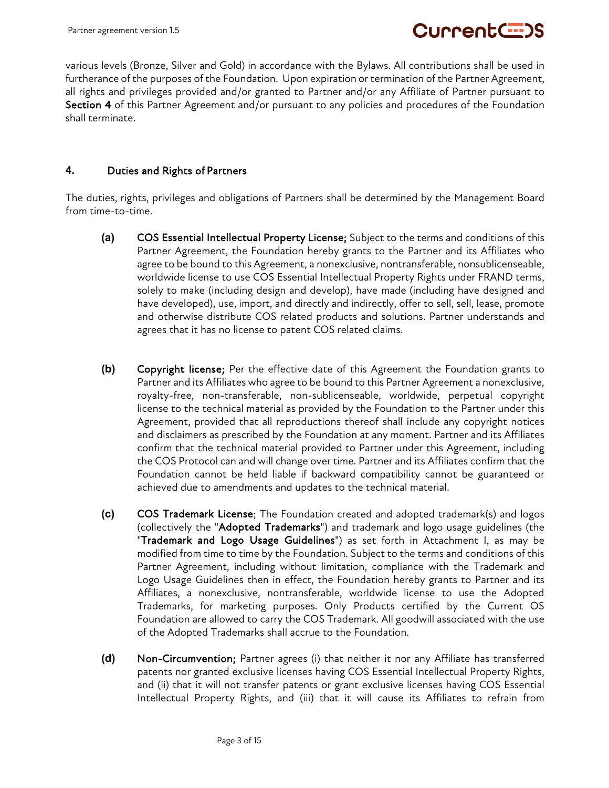

various levels (Bronze, Silver and Gold) in accordance with the Bylaws. All contributions shall be used in furtherance of the purposes of the Foundation. Upon expiration or termination of the Partner Agreement, all rights and privileges provided and/or granted to Partner and/or any Affiliate of Partner pursuant to Section 4 of this Partner Agreement and/or pursuant to any policies and procedures of the Foundation shall terminate.

### **4.** Duties and Rights of Partners

The duties, rights, privileges and obligations of Partners shall be determined by the Management Board from time-to-time.

- **(a)** COS Essential Intellectual Property License; Subject to the terms and conditions of this Partner Agreement, the Foundation hereby grants to the Partner and its Affiliates who agree to be bound to this Agreement, a nonexclusive, nontransferable, nonsublicenseable, worldwide license to use COS Essential Intellectual Property Rights under FRAND terms, solely to make (including design and develop), have made (including have designed and have developed), use, import, and directly and indirectly, offer to sell, sell, lease, promote and otherwise distribute COS related products and solutions. Partner understands and agrees that it has no license to patent COS related claims.
- **(b)** Copyright license; Per the effective date of this Agreement the Foundation grants to Partner and its Affiliates who agree to be bound to this Partner Agreement a nonexclusive, royalty-free, non-transferable, non-sublicenseable, worldwide, perpetual copyright license to the technical material as provided by the Foundation to the Partner under this Agreement, provided that all reproductions thereof shall include any copyright notices and disclaimers as prescribed by the Foundation at any moment. Partner and its Affiliates confirm that the technical material provided to Partner under this Agreement, including the COS Protocol can and will change over time. Partner and its Affiliates confirm that the Foundation cannot be held liable if backward compatibility cannot be guaranteed or achieved due to amendments and updates to the technical material.
- **(c)** COS Trademark License; The Foundation created and adopted trademark(s) and logos (collectively the "Adopted Trademarks") and trademark and logo usage guidelines (the "Trademark and Logo Usage Guidelines") as set forth in Attachment I, as may be modified from time to time by the Foundation. Subject to the terms and conditions of this Partner Agreement, including without limitation, compliance with the Trademark and Logo Usage Guidelines then in effect, the Foundation hereby grants to Partner and its Affiliates, a nonexclusive, nontransferable, worldwide license to use the Adopted Trademarks, for marketing purposes. Only Products certified by the Current OS Foundation are allowed to carry the COS Trademark. All goodwill associated with the use of the Adopted Trademarks shall accrue to the Foundation.
- **(d)** Non-Circumvention; Partner agrees (i) that neither it nor any Affiliate has transferred patents nor granted exclusive licenses having COS Essential Intellectual Property Rights, and (ii) that it will not transfer patents or grant exclusive licenses having COS Essential Intellectual Property Rights, and (iii) that it will cause its Affiliates to refrain from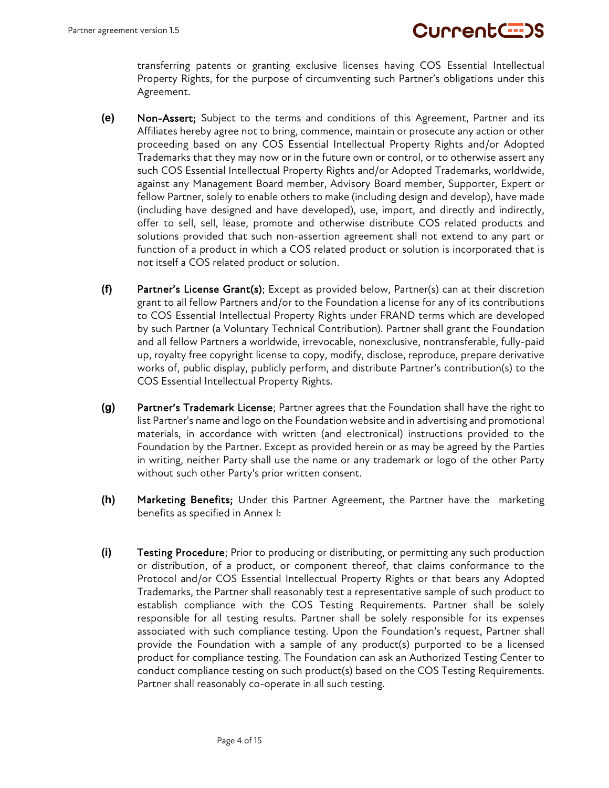# CurrentC<del>...</del>)S

transferring patents or granting exclusive licenses having COS Essential Intellectual Property Rights, for the purpose of circumventing such Partner's obligations under this Agreement.

- **(e)** Non-Assert; Subject to the terms and conditions of this Agreement, Partner and its Affiliates hereby agree not to bring, commence, maintain or prosecute any action or other proceeding based on any COS Essential Intellectual Property Rights and/or Adopted Trademarks that they may now or in the future own or control, or to otherwise assert any such COS Essential Intellectual Property Rights and/or Adopted Trademarks, worldwide, against any Management Board member, Advisory Board member, Supporter, Expert or fellow Partner, solely to enable others to make (including design and develop), have made (including have designed and have developed), use, import, and directly and indirectly, offer to sell, sell, lease, promote and otherwise distribute COS related products and solutions provided that such non-assertion agreement shall not extend to any part or function of a product in which a COS related product or solution is incorporated that is not itself a COS related product or solution.
- **(f)** Partner's License Grant(s); Except as provided below, Partner(s) can at their discretion grant to all fellow Partners and/or to the Foundation a license for any of its contributions to COS Essential Intellectual Property Rights under FRAND terms which are developed by such Partner (a Voluntary Technical Contribution). Partner shall grant the Foundation and all fellow Partners a worldwide, irrevocable, nonexclusive, nontransferable, fully-paid up, royalty free copyright license to copy, modify, disclose, reproduce, prepare derivative works of, public display, publicly perform, and distribute Partner's contribution(s) to the COS Essential Intellectual Property Rights.
- **(g)** Partner's Trademark License; Partner agrees that the Foundation shall have the right to list Partner's name and logo on the Foundation website and in advertising and promotional materials, in accordance with written (and electronical) instructions provided to the Foundation by the Partner. Except as provided herein or as may be agreed by the Parties in writing, neither Party shall use the name or any trademark or logo of the other Party without such other Party's prior written consent.
- **(h)** Marketing Benefits; Under this Partner Agreement, the Partner have the marketing benefits as specified in Annex I:
- **(i)** Testing Procedure; Prior to producing or distributing, or permitting any such production or distribution, of a product, or component thereof, that claims conformance to the Protocol and/or COS Essential Intellectual Property Rights or that bears any Adopted Trademarks, the Partner shall reasonably test a representative sample of such product to establish compliance with the COS Testing Requirements. Partner shall be solely responsible for all testing results. Partner shall be solely responsible for its expenses associated with such compliance testing. Upon the Foundation's request, Partner shall provide the Foundation with a sample of any product(s) purported to be a licensed product for compliance testing. The Foundation can ask an Authorized Testing Center to conduct compliance testing on such product(s) based on the COS Testing Requirements. Partner shall reasonably co-operate in all such testing.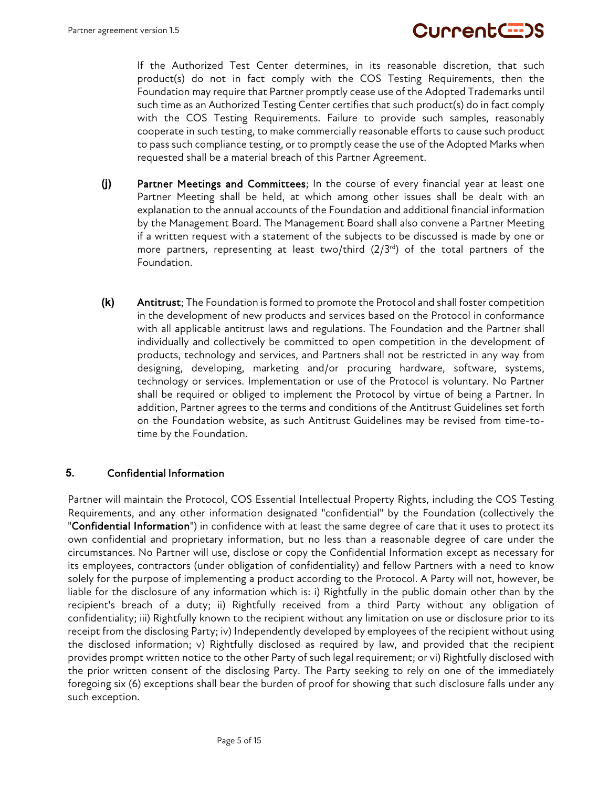# Current(<del>...</del>)S

If the Authorized Test Center determines, in its reasonable discretion, that such product(s) do not in fact comply with the COS Testing Requirements, then the Foundation may require that Partner promptly cease use of the Adopted Trademarks until such time as an Authorized Testing Center certifies that such product(s) do in fact comply with the COS Testing Requirements. Failure to provide such samples, reasonably cooperate in such testing, to make commercially reasonable efforts to cause such product to pass such compliance testing, or to promptly cease the use of the Adopted Marks when requested shall be a material breach of this Partner Agreement.

- **(j)** Partner Meetings and Committees; In the course of every financial year at least one Partner Meeting shall be held, at which among other issues shall be dealt with an explanation to the annual accounts of the Foundation and additional financial information by the Management Board. The Management Board shall also convene a Partner Meeting if a written request with a statement of the subjects to be discussed is made by one or more partners, representing at least two/third  $(2/3<sup>rd</sup>)$  of the total partners of the Foundation.
- **(k)** Antitrust; The Foundation is formed to promote the Protocol and shall foster competition in the development of new products and services based on the Protocol in conformance with all applicable antitrust laws and regulations. The Foundation and the Partner shall individually and collectively be committed to open competition in the development of products, technology and services, and Partners shall not be restricted in any way from designing, developing, marketing and/or procuring hardware, software, systems, technology or services. Implementation or use of the Protocol is voluntary. No Partner shall be required or obliged to implement the Protocol by virtue of being a Partner. In addition, Partner agrees to the terms and conditions of the Antitrust Guidelines set forth on the Foundation website, as such Antitrust Guidelines may be revised from time-totime by the Foundation.

# **5.** Confidential Information

Partner will maintain the Protocol, COS Essential Intellectual Property Rights, including the COS Testing Requirements, and any other information designated "confidential" by the Foundation (collectively the "Confidential Information") in confidence with at least the same degree of care that it uses to protect its own confidential and proprietary information, but no less than a reasonable degree of care under the circumstances. No Partner will use, disclose or copy the Confidential Information except as necessary for its employees, contractors (under obligation of confidentiality) and fellow Partners with a need to know solely for the purpose of implementing a product according to the Protocol. A Party will not, however, be liable for the disclosure of any information which is: i) Rightfully in the public domain other than by the recipient's breach of a duty; ii) Rightfully received from a third Party without any obligation of confidentiality; iii) Rightfully known to the recipient without any limitation on use or disclosure prior to its receipt from the disclosing Party; iv) Independently developed by employees of the recipient without using the disclosed information; v) Rightfully disclosed as required by law, and provided that the recipient provides prompt written notice to the other Party of such legal requirement; or vi) Rightfully disclosed with the prior written consent of the disclosing Party. The Party seeking to rely on one of the immediately foregoing six (6) exceptions shall bear the burden of proof for showing that such disclosure falls under any such exception.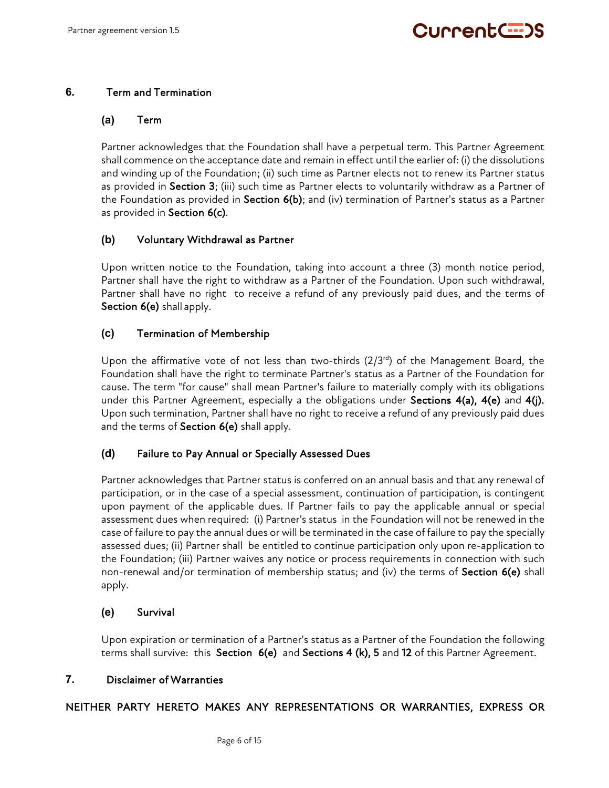# $Currence(\overline{...})$

# **6.** Term and Termination

#### **(a)** Term

Partner acknowledges that the Foundation shall have a perpetual term. This Partner Agreement shall commence on the acceptance date and remain in effect until the earlier of: (i) the dissolutions and winding up of the Foundation; (ii) such time as Partner elects not to renew its Partner status as provided in Section 3; (iii) such time as Partner elects to voluntarily withdraw as a Partner of the Foundation as provided in Section  $6(b)$ ; and (iv) termination of Partner's status as a Partner as provided in Section 6(c).

### **(b)** Voluntary Withdrawal as Partner

Upon written notice to the Foundation, taking into account a three (3) month notice period, Partner shall have the right to withdraw as a Partner of the Foundation. Upon such withdrawal, Partner shall have no right to receive a refund of any previously paid dues, and the terms of Section 6(e) shall apply.

### **(c)** Termination of Membership

Upon the affirmative vote of not less than two-thirds  $(2/3<sup>rd</sup>)$  of the Management Board, the Foundation shall have the right to terminate Partner's status as a Partner of the Foundation for cause. The term "for cause" shall mean Partner's failure to materially comply with its obligations under this Partner Agreement, especially a the obligations under Sections  $4(a)$ ,  $4(e)$  and  $4(i)$ . Upon such termination, Partner shall have no right to receive a refund of any previously paid dues and the terms of Section 6(e) shall apply.

# **(d)** Failure to Pay Annual or Specially Assessed Dues

Partner acknowledges that Partner status is conferred on an annual basis and that any renewal of participation, or in the case of a special assessment, continuation of participation, is contingent upon payment of the applicable dues. If Partner fails to pay the applicable annual or special assessment dues when required: (i) Partner's status in the Foundation will not be renewed in the case of failure to pay the annual dues or will be terminated in the case of failure to pay the specially assessed dues; (ii) Partner shall be entitled to continue participation only upon re-application to the Foundation; (iii) Partner waives any notice or process requirements in connection with such non-renewal and/or termination of membership status; and (iv) the terms of Section  $6(e)$  shall apply.

#### **(e)** Survival

Upon expiration or termination of a Partner's status as a Partner of the Foundation the following terms shall survive: this Section  $6(e)$  and Sections  $4(k)$ , 5 and 12 of this Partner Agreement.

#### **7.** Disclaimer of Warranties

# NEITHER PARTY HERETO MAKES ANY REPRESENTATIONS OR WARRANTIES, EXPRESS OR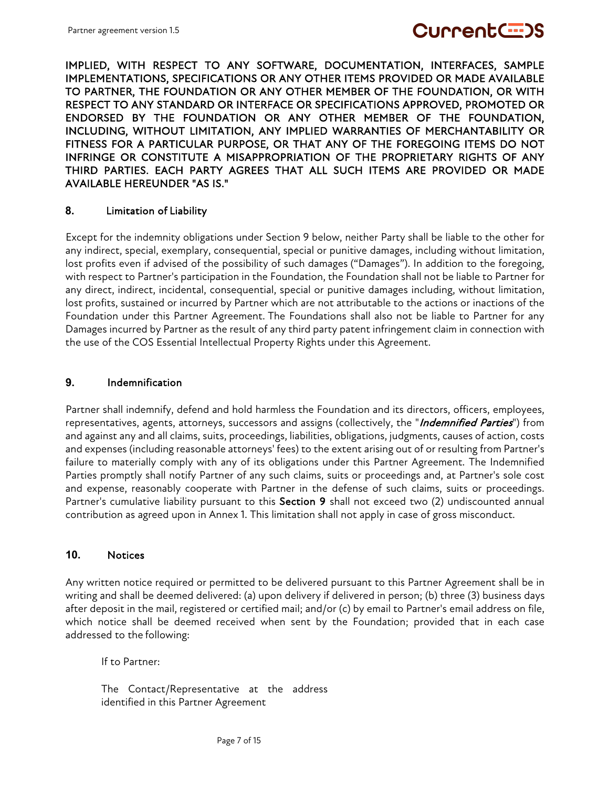IMPLIED, WITH RESPECT TO ANY SOFTWARE, DOCUMENTATION, INTERFACES, SAMPLE IMPLEMENTATIONS, SPECIFICATIONS OR ANY OTHER ITEMS PROVIDED OR MADE AVAILABLE TO PARTNER, THE FOUNDATION OR ANY OTHER MEMBER OF THE FOUNDATION, OR WITH RESPECT TO ANY STANDARD OR INTERFACE OR SPECIFICATIONS APPROVED, PROMOTED OR ENDORSED BY THE FOUNDATION OR ANY OTHER MEMBER OF THE FOUNDATION, INCLUDING, WITHOUT LIMITATION, ANY IMPLIED WARRANTIES OF MERCHANTABILITY OR FITNESS FOR A PARTICULAR PURPOSE, OR THAT ANY OF THE FOREGOING ITEMS DO NOT INFRINGE OR CONSTITUTE A MISAPPROPRIATION OF THE PROPRIETARY RIGHTS OF ANY THIRD PARTIES. EACH PARTY AGREES THAT ALL SUCH ITEMS ARE PROVIDED OR MADE AVAILABLE HEREUNDER "AS IS."

### **8.** Limitation of Liability

Except for the indemnity obligations under Section 9 below, neither Party shall be liable to the other for any indirect, special, exemplary, consequential, special or punitive damages, including without limitation, lost profits even if advised of the possibility of such damages ("Damages"). In addition to the foregoing, with respect to Partner's participation in the Foundation, the Foundation shall not be liable to Partner for any direct, indirect, incidental, consequential, special or punitive damages including, without limitation, lost profits, sustained or incurred by Partner which are not attributable to the actions or inactions of the Foundation under this Partner Agreement. The Foundations shall also not be liable to Partner for any Damages incurred by Partner as the result of any third party patent infringement claim in connection with the use of the COS Essential Intellectual Property Rights under this Agreement.

#### **9.** Indemnification

Partner shall indemnify, defend and hold harmless the Foundation and its directors, officers, employees, representatives, agents, attorneys, successors and assigns (collectively, the "*Indemnified Parties*") from and against any and all claims, suits, proceedings, liabilities, obligations, judgments, causes of action, costs and expenses (including reasonable attorneys' fees) to the extent arising out of or resulting from Partner's failure to materially comply with any of its obligations under this Partner Agreement. The Indemnified Parties promptly shall notify Partner of any such claims, suits or proceedings and, at Partner's sole cost and expense, reasonably cooperate with Partner in the defense of such claims, suits or proceedings. Partner's cumulative liability pursuant to this Section 9 shall not exceed two (2) undiscounted annual contribution as agreed upon in Annex 1. This limitation shall not apply in case of gross misconduct.

#### **10.** Notices

Any written notice required or permitted to be delivered pursuant to this Partner Agreement shall be in writing and shall be deemed delivered: (a) upon delivery if delivered in person; (b) three (3) business days after deposit in the mail, registered or certified mail; and/or (c) by email to Partner's email address on file, which notice shall be deemed received when sent by the Foundation; provided that in each case addressed to the following:

If to Partner:

The Contact/Representative at the address identified in this Partner Agreement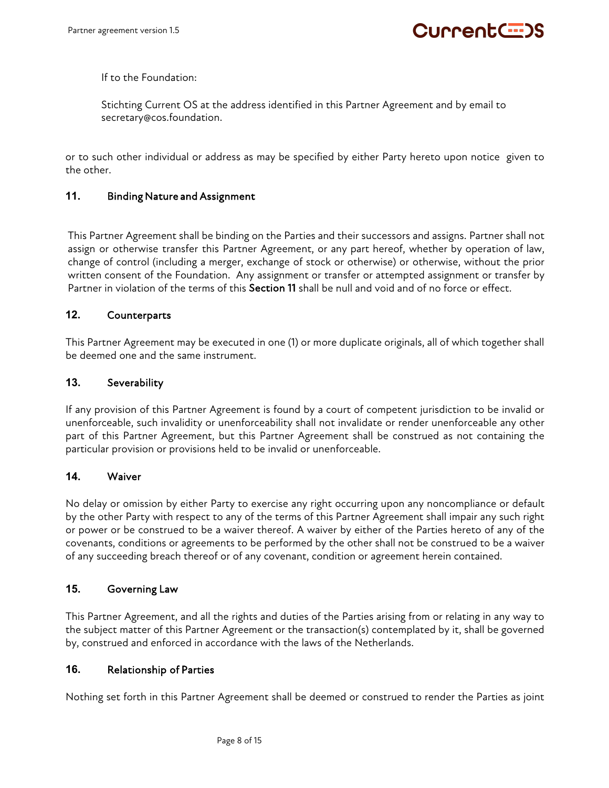# Current(--

If to the Foundation:

Stichting Current OS at the address identified in this Partner Agreement and by email to secretary@cos.foundation.

or to such other individual or address as may be specified by either Party hereto upon notice given to the other.

### **11.** Binding Nature and Assignment

This Partner Agreement shall be binding on the Parties and their successors and assigns. Partner shall not assign or otherwise transfer this Partner Agreement, or any part hereof, whether by operation of law, change of control (including a merger, exchange of stock or otherwise) or otherwise, without the prior written consent of the Foundation. Any assignment or transfer or attempted assignment or transfer by Partner in violation of the terms of this Section 11 shall be null and void and of no force or effect.

### **12.** Counterparts

This Partner Agreement may be executed in one (1) or more duplicate originals, all of which together shall be deemed one and the same instrument.

### **13.** Severability

If any provision of this Partner Agreement is found by a court of competent jurisdiction to be invalid or unenforceable, such invalidity or unenforceability shall not invalidate or render unenforceable any other part of this Partner Agreement, but this Partner Agreement shall be construed as not containing the particular provision or provisions held to be invalid or unenforceable.

#### **14.** Waiver

No delay or omission by either Party to exercise any right occurring upon any noncompliance or default by the other Party with respect to any of the terms of this Partner Agreement shall impair any such right or power or be construed to be a waiver thereof. A waiver by either of the Parties hereto of any of the covenants, conditions or agreements to be performed by the other shall not be construed to be a waiver of any succeeding breach thereof or of any covenant, condition or agreement herein contained.

#### **15.** Governing Law

This Partner Agreement, and all the rights and duties of the Parties arising from or relating in any way to the subject matter of this Partner Agreement or the transaction(s) contemplated by it, shall be governed by, construed and enforced in accordance with the laws of the Netherlands.

# **16.** Relationship of Parties

Nothing set forth in this Partner Agreement shall be deemed or construed to render the Parties as joint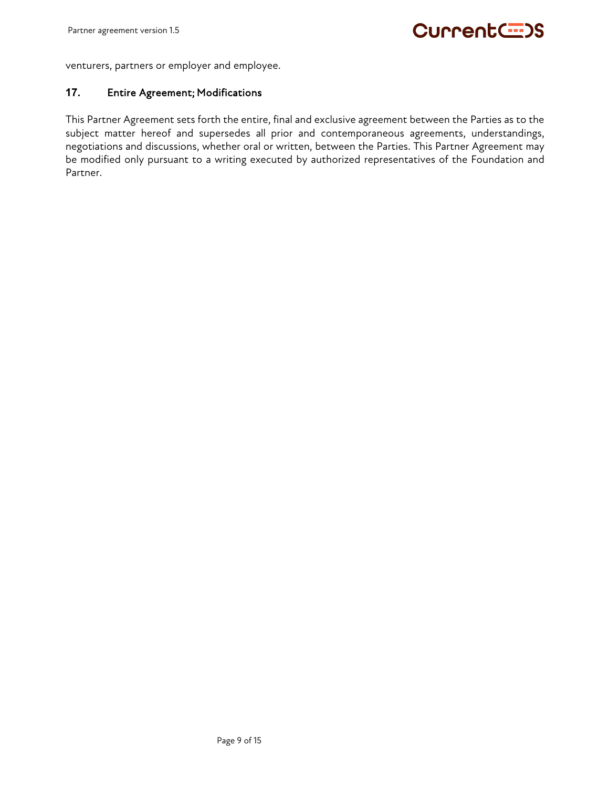

venturers, partners or employer and employee.

### **17.** Entire Agreement; Modifications

This Partner Agreement sets forth the entire, final and exclusive agreement between the Parties as to the subject matter hereof and supersedes all prior and contemporaneous agreements, understandings, negotiations and discussions, whether oral or written, between the Parties. This Partner Agreement may be modified only pursuant to a writing executed by authorized representatives of the Foundation and Partner.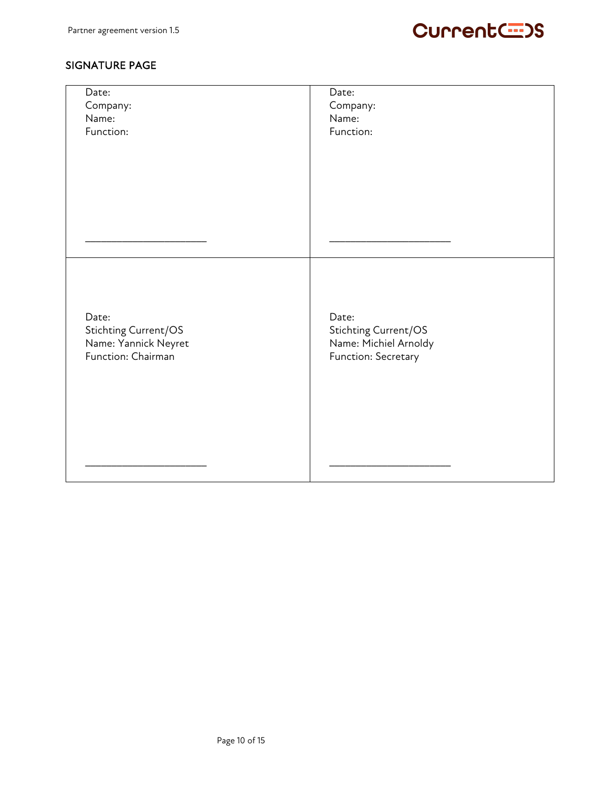

# SIGNATURE PAGE

| Date:                | Date:                 |
|----------------------|-----------------------|
| Company:             | Company:              |
| Name:                | Name:                 |
| Function:            | Function:             |
| Date:                | Date:                 |
| Stichting Current/OS | Stichting Current/OS  |
| Name: Yannick Neyret | Name: Michiel Arnoldy |
| Function: Chairman   | Function: Secretary   |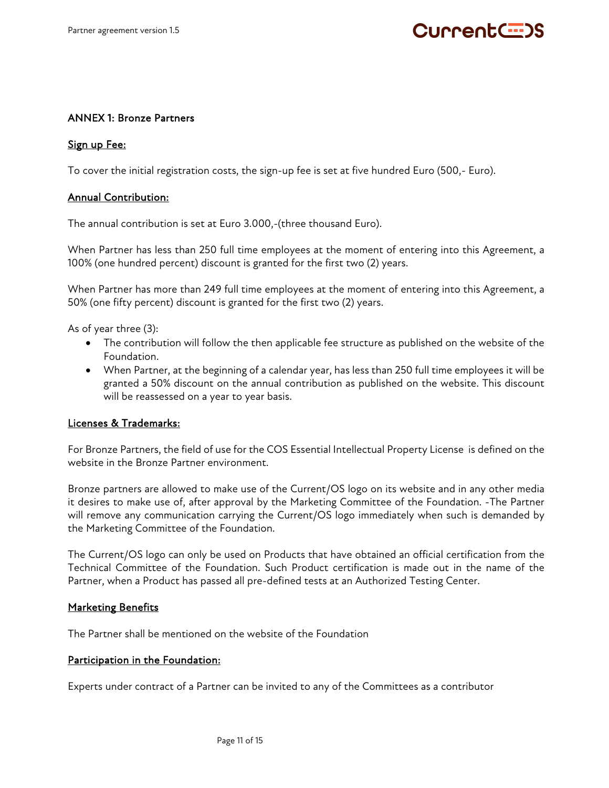# $Currence(\overline{...})$

# ANNEX 1: Bronze Partners

#### Sign up Fee:

To cover the initial registration costs, the sign-up fee is set at five hundred Euro (500,- Euro).

#### Annual Contribution:

The annual contribution is set at Euro 3.000,-(three thousand Euro).

When Partner has less than 250 full time employees at the moment of entering into this Agreement, a 100% (one hundred percent) discount is granted for the first two (2) years.

When Partner has more than 249 full time employees at the moment of entering into this Agreement, a 50% (one fifty percent) discount is granted for the first two (2) years.

As of year three (3):

- The contribution will follow the then applicable fee structure as published on the website of the Foundation.
- When Partner, at the beginning of a calendar year, has less than 250 full time employees it will be granted a 50% discount on the annual contribution as published on the website. This discount will be reassessed on a year to year basis.

#### Licenses & Trademarks:

For Bronze Partners, the field of use for the COS Essential Intellectual Property License is defined on the website in the Bronze Partner environment.

Bronze partners are allowed to make use of the Current/OS logo on its website and in any other media it desires to make use of, after approval by the Marketing Committee of the Foundation. -The Partner will remove any communication carrying the Current/OS logo immediately when such is demanded by the Marketing Committee of the Foundation.

The Current/OS logo can only be used on Products that have obtained an official certification from the Technical Committee of the Foundation. Such Product certification is made out in the name of the Partner, when a Product has passed all pre-defined tests at an Authorized Testing Center.

#### **Marketing Benefits**

The Partner shall be mentioned on the website of the Foundation

#### Participation in the Foundation:

Experts under contract of a Partner can be invited to any of the Committees as a contributor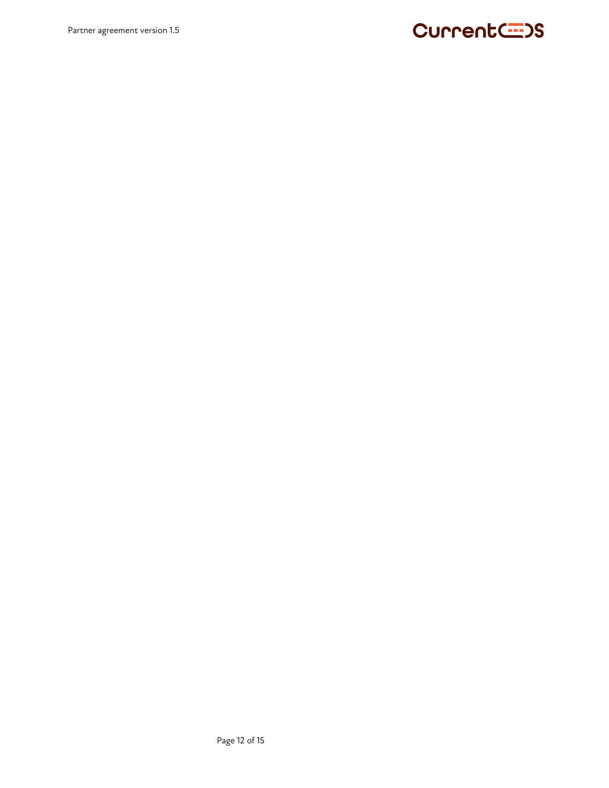# CurrentCIDS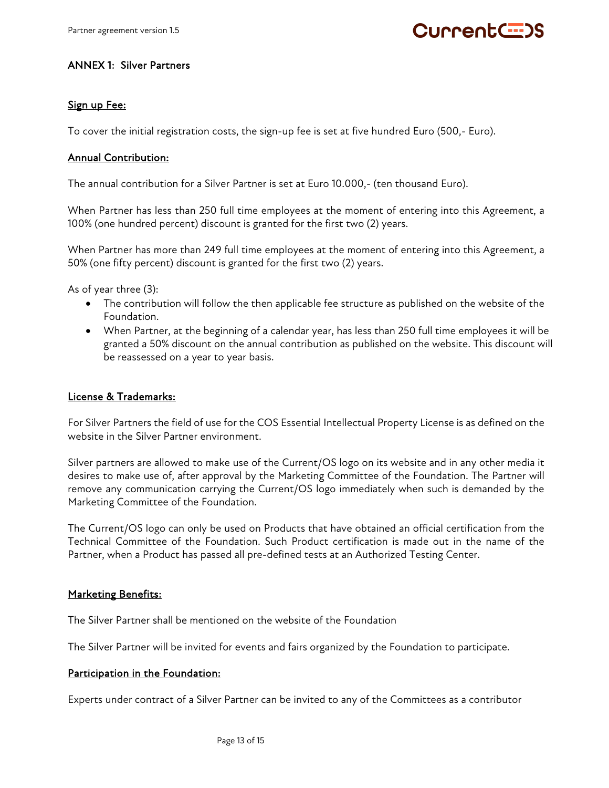

# ANNEX 1: Silver Partners

# Sign up Fee:

To cover the initial registration costs, the sign-up fee is set at five hundred Euro (500,- Euro).

### Annual Contribution:

The annual contribution for a Silver Partner is set at Euro 10.000,- (ten thousand Euro).

When Partner has less than 250 full time employees at the moment of entering into this Agreement, a 100% (one hundred percent) discount is granted for the first two (2) years.

When Partner has more than 249 full time employees at the moment of entering into this Agreement, a 50% (one fifty percent) discount is granted for the first two (2) years.

As of year three (3):

- The contribution will follow the then applicable fee structure as published on the website of the Foundation.
- When Partner, at the beginning of a calendar year, has less than 250 full time employees it will be granted a 50% discount on the annual contribution as published on the website. This discount will be reassessed on a year to year basis.

### License & Trademarks:

For Silver Partners the field of use for the COS Essential Intellectual Property License is as defined on the website in the Silver Partner environment.

Silver partners are allowed to make use of the Current/OS logo on its website and in any other media it desires to make use of, after approval by the Marketing Committee of the Foundation. The Partner will remove any communication carrying the Current/OS logo immediately when such is demanded by the Marketing Committee of the Foundation.

The Current/OS logo can only be used on Products that have obtained an official certification from the Technical Committee of the Foundation. Such Product certification is made out in the name of the Partner, when a Product has passed all pre-defined tests at an Authorized Testing Center.

#### Marketing Benefits:

The Silver Partner shall be mentioned on the website of the Foundation

The Silver Partner will be invited for events and fairs organized by the Foundation to participate.

#### Participation in the Foundation:

Experts under contract of a Silver Partner can be invited to any of the Committees as a contributor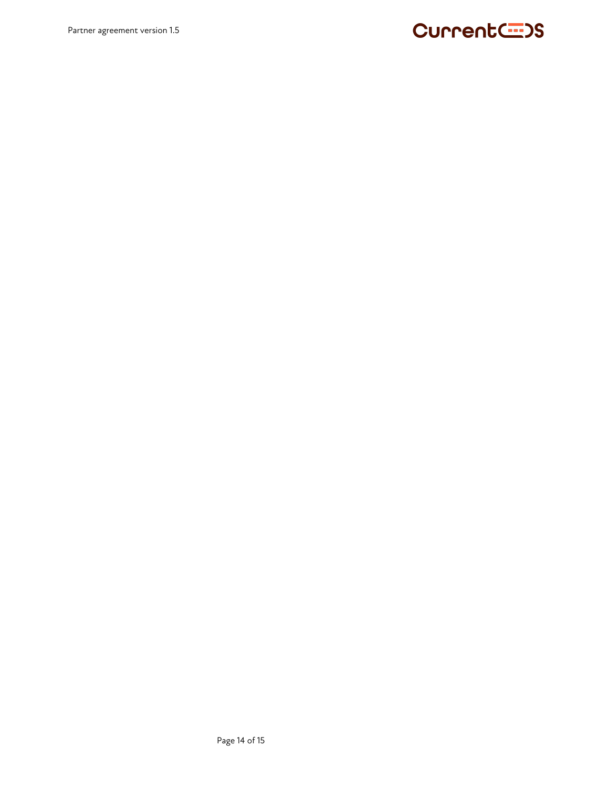# CurrentCIDS